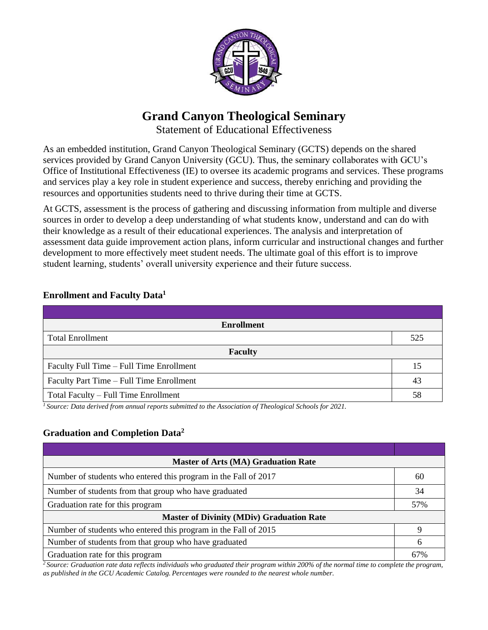

# **Grand Canyon Theological Seminary**

Statement of Educational Effectiveness

As an embedded institution, Grand Canyon Theological Seminary (GCTS) depends on the shared services provided by Grand Canyon University (GCU). Thus, the seminary collaborates with GCU's Office of Institutional Effectiveness (IE) to oversee its academic programs and services. These programs and services play a key role in student experience and success, thereby enriching and providing the resources and opportunities students need to thrive during their time at GCTS.

At GCTS, assessment is the process of gathering and discussing information from multiple and diverse sources in order to develop a deep understanding of what students know, understand and can do with their knowledge as a result of their educational experiences. The analysis and interpretation of assessment data guide improvement action plans, inform curricular and instructional changes and further development to more effectively meet student needs. The ultimate goal of this effort is to improve student learning, students' overall university experience and their future success.

| <b>Enrollment</b>                        |     |  |
|------------------------------------------|-----|--|
| <b>Total Enrollment</b>                  | 525 |  |
| <b>Faculty</b>                           |     |  |
| Faculty Full Time – Full Time Enrollment | 15  |  |
| Faculty Part Time – Full Time Enrollment | 43  |  |
| Total Faculty – Full Time Enrollment     | 58  |  |

## **Enrollment and Faculty Data<sup>1</sup>**

*<sup>1</sup>Source: Data derived from annual reports submitted to the Association of Theological Schools for 2021.*

## **Graduation and Completion Data<sup>2</sup>**

| <b>Master of Arts (MA) Graduation Rate</b>                      |     |  |  |
|-----------------------------------------------------------------|-----|--|--|
| Number of students who entered this program in the Fall of 2017 | 60  |  |  |
| Number of students from that group who have graduated           |     |  |  |
| Graduation rate for this program                                |     |  |  |
| <b>Master of Divinity (MDiv) Graduation Rate</b>                |     |  |  |
| Number of students who entered this program in the Fall of 2015 |     |  |  |
| Number of students from that group who have graduated           |     |  |  |
| Graduation rate for this program                                | 67% |  |  |

*<sup>2</sup>Source: Graduation rate data reflects individuals who graduated their program within 200% of the normal time to complete the program, as published in the GCU Academic Catalog. Percentages were rounded to the nearest whole number.*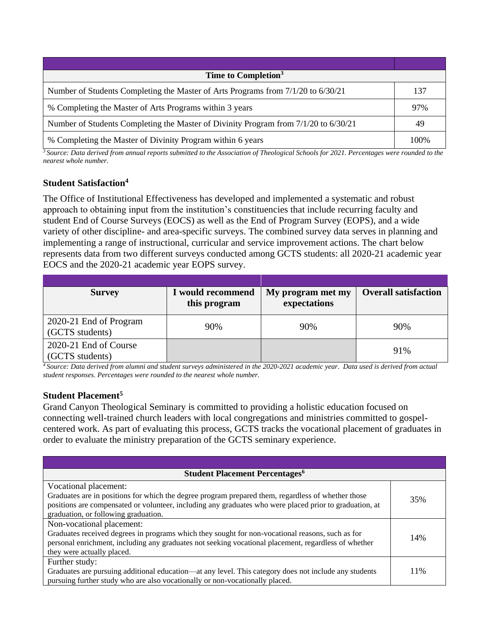| Time to Completion <sup>3</sup>                                                      |      |  |  |
|--------------------------------------------------------------------------------------|------|--|--|
| Number of Students Completing the Master of Arts Programs from $7/1/20$ to $6/30/21$ | 137  |  |  |
| % Completing the Master of Arts Programs within 3 years                              |      |  |  |
| Number of Students Completing the Master of Divinity Program from 7/1/20 to 6/30/21  |      |  |  |
| % Completing the Master of Divinity Program within 6 years                           | 100% |  |  |

*<sup>3</sup>Source: Data derived from annual reports submitted to the Association of Theological Schools for 2021. Percentages were rounded to the nearest whole number.*

#### **Student Satisfaction<sup>4</sup>**

The Office of Institutional Effectiveness has developed and implemented a systematic and robust approach to obtaining input from the institution's constituencies that include recurring faculty and student End of Course Surveys (EOCS) as well as the End of Program Survey (EOPS), and a wide variety of other discipline- and area-specific surveys. The combined survey data serves in planning and implementing a range of instructional, curricular and service improvement actions. The chart below represents data from two different surveys conducted among GCTS students: all 2020-21 academic year EOCS and the 2020-21 academic year EOPS survey.

| <b>Survey</b>                             | I would recommend<br>this program | My program met my<br>expectations | <b>Overall satisfaction</b> |
|-------------------------------------------|-----------------------------------|-----------------------------------|-----------------------------|
| 2020-21 End of Program<br>(GCTS students) | 90%                               | 90%                               | 90%                         |
| 2020-21 End of Course<br>(GCTS students)  |                                   |                                   | 91%                         |

*<sup>4</sup>Source: Data derived from alumni and student surveys administered in the 2020-2021 academic year. Data used is derived from actual student responses. Percentages were rounded to the nearest whole number.*

#### **Student Placement<sup>5</sup>**

Grand Canyon Theological Seminary is committed to providing a holistic education focused on connecting well-trained church leaders with local congregations and ministries committed to gospelcentered work. As part of evaluating this process, GCTS tracks the vocational placement of graduates in order to evaluate the ministry preparation of the GCTS seminary experience.

| <b>Student Placement Percentages<sup>6</sup></b>                                                                                                                                                              |      |  |  |
|---------------------------------------------------------------------------------------------------------------------------------------------------------------------------------------------------------------|------|--|--|
| Vocational placement:                                                                                                                                                                                         |      |  |  |
| Graduates are in positions for which the degree program prepared them, regardless of whether those<br>positions are compensated or volunteer, including any graduates who were placed prior to graduation, at | 35%  |  |  |
| graduation, or following graduation.                                                                                                                                                                          |      |  |  |
| Non-vocational placement:                                                                                                                                                                                     |      |  |  |
| Graduates received degrees in programs which they sought for non-vocational reasons, such as for<br>personal enrichment, including any graduates not seeking vocational placement, regardless of whether      | 14%  |  |  |
| they were actually placed.                                                                                                                                                                                    |      |  |  |
| Further study:                                                                                                                                                                                                |      |  |  |
| Graduates are pursuing additional education—at any level. This category does not include any students<br>pursuing further study who are also vocationally or non-vocationally placed.                         | 11\% |  |  |